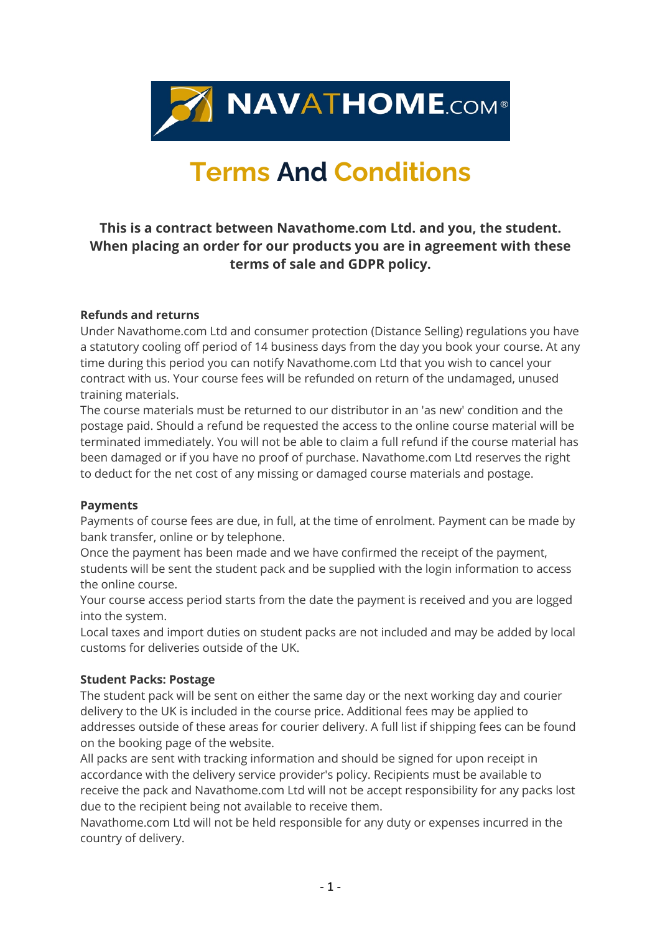

# **Terms And Conditions**

# **This is a contract between Navathome.com Ltd. and you, the student. When placing an order for our products you are in agreement with these terms of sale and GDPR policy.**

#### **Refunds and returns**

Under Navathome.com Ltd and consumer protection (Distance Selling) regulations you have a statutory cooling off period of 14 business days from the day you book your course. At any time during this period you can notify Navathome.com Ltd that you wish to cancel your contract with us. Your course fees will be refunded on return of the undamaged, unused training materials.

The course materials must be returned to our distributor in an 'as new' condition and the postage paid. Should a refund be requested the access to the online course material will be terminated immediately. You will not be able to claim a full refund if the course material has been damaged or if you have no proof of purchase. Navathome.com Ltd reserves the right to deduct for the net cost of any missing or damaged course materials and postage.

#### **Payments**

Payments of course fees are due, in full, at the time of enrolment. Payment can be made by bank transfer, online or by telephone.

Once the payment has been made and we have confirmed the receipt of the payment, students will be sent the student pack and be supplied with the login information to access the online course.

Your course access period starts from the date the payment is received and you are logged into the system.

Local taxes and import duties on student packs are not included and may be added by local customs for deliveries outside of the UK.

## **Student Packs: Postage**

The student pack will be sent on either the same day or the next working day and courier delivery to the UK is included in the course price. Additional fees may be applied to addresses outside of these areas for courier delivery. A full list if shipping fees can be found on the booking page of the website.

All packs are sent with tracking information and should be signed for upon receipt in accordance with the delivery service provider's policy. Recipients must be available to receive the pack and Navathome.com Ltd will not be accept responsibility for any packs lost due to the recipient being not available to receive them.

Navathome.com Ltd will not be held responsible for any duty or expenses incurred in the country of delivery.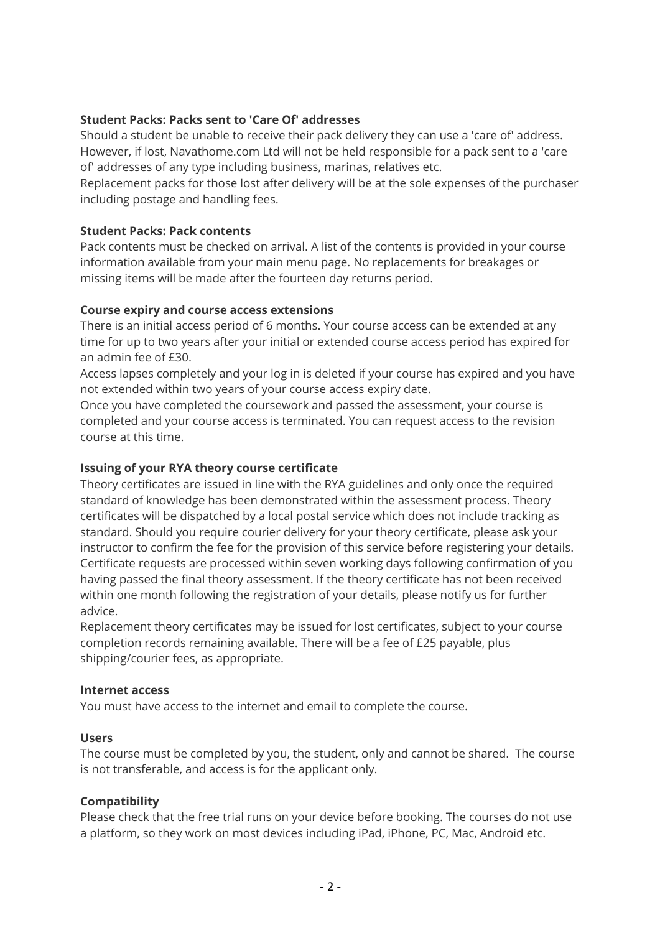## **Student Packs: Packs sent to 'Care Of' addresses**

Should a student be unable to receive their pack delivery they can use a 'care of' address. However, if lost, Navathome.com Ltd will not be held responsible for a pack sent to a 'care of' addresses of any type including business, marinas, relatives etc.

Replacement packs for those lost after delivery will be at the sole expenses of the purchaser including postage and handling fees.

#### **Student Packs: Pack contents**

Pack contents must be checked on arrival. A list of the contents is provided in your course information available from your main menu page. No replacements for breakages or missing items will be made after the fourteen day returns period.

#### **Course expiry and course access extensions**

There is an initial access period of 6 months. Your course access can be extended at any time for up to two years after your initial or extended course access period has expired for an admin fee of £30.

Access lapses completely and your log in is deleted if your course has expired and you have not extended within two years of your course access expiry date.

Once you have completed the coursework and passed the assessment, your course is completed and your course access is terminated. You can request access to the revision course at this time.

#### **Issuing of your RYA theory course certificate**

Theory certificates are issued in line with the RYA guidelines and only once the required standard of knowledge has been demonstrated within the assessment process. Theory certificates will be dispatched by a local postal service which does not include tracking as standard. Should you require courier delivery for your theory certificate, please ask your instructor to confirm the fee for the provision of this service before registering your details. Certificate requests are processed within seven working days following confirmation of you having passed the final theory assessment. If the theory certificate has not been received within one month following the registration of your details, please notify us for further advice.

Replacement theory certificates may be issued for lost certificates, subject to your course completion records remaining available. There will be a fee of £25 payable, plus shipping/courier fees, as appropriate.

#### **Internet access**

You must have access to the internet and email to complete the course.

## **Users**

The course must be completed by you, the student, only and cannot be shared. The course is not transferable, and access is for the applicant only.

#### **Compatibility**

Please check that the free trial runs on your device before booking. The courses do not use a platform, so they work on most devices including iPad, iPhone, PC, Mac, Android etc.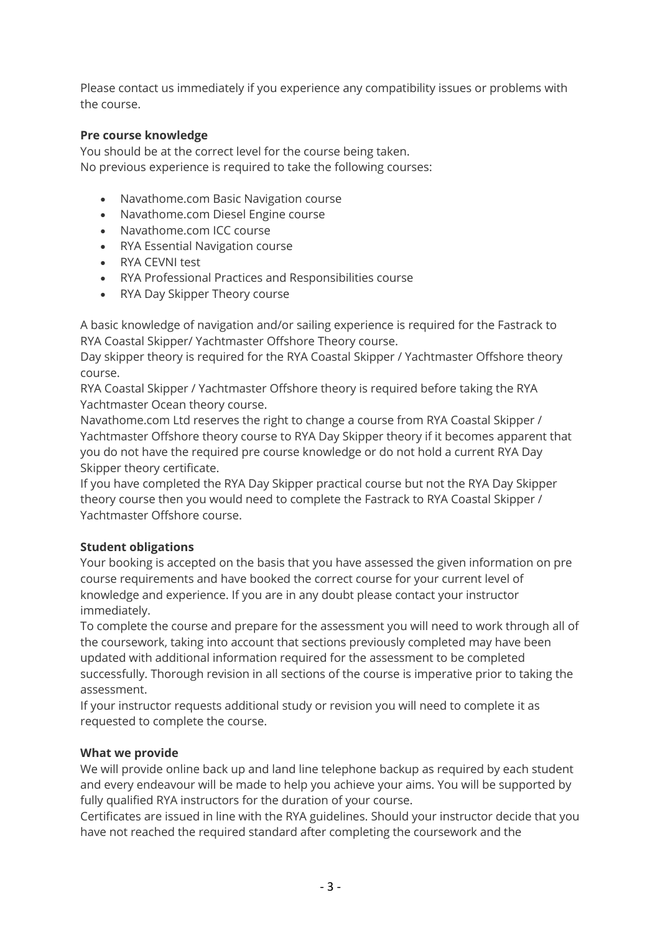Please contact us immediately if you experience any compatibility issues or problems with the course.

# **Pre course knowledge**

You should be at the correct level for the course being taken. No previous experience is required to take the following courses:

- Navathome.com Basic Navigation course
- Navathome.com Diesel Engine course
- Navathome.com ICC course
- RYA Essential Navigation course
- RYA CEVNI test
- RYA Professional Practices and Responsibilities course
- RYA Day Skipper Theory course

A basic knowledge of navigation and/or sailing experience is required for the Fastrack to RYA Coastal Skipper/ Yachtmaster Offshore Theory course.

Day skipper theory is required for the RYA Coastal Skipper / Yachtmaster Offshore theory course.

RYA Coastal Skipper / Yachtmaster Offshore theory is required before taking the RYA Yachtmaster Ocean theory course.

Navathome.com Ltd reserves the right to change a course from RYA Coastal Skipper / Yachtmaster Offshore theory course to RYA Day Skipper theory if it becomes apparent that you do not have the required pre course knowledge or do not hold a current RYA Day Skipper theory certificate.

If you have completed the RYA Day Skipper practical course but not the RYA Day Skipper theory course then you would need to complete the Fastrack to RYA Coastal Skipper / Yachtmaster Offshore course.

## **Student obligations**

Your booking is accepted on the basis that you have assessed the given information on pre course requirements and have booked the correct course for your current level of knowledge and experience. If you are in any doubt please contact your instructor immediately.

To complete the course and prepare for the assessment you will need to work through all of the coursework, taking into account that sections previously completed may have been updated with additional information required for the assessment to be completed successfully. Thorough revision in all sections of the course is imperative prior to taking the assessment.

If your instructor requests additional study or revision you will need to complete it as requested to complete the course.

## **What we provide**

We will provide online back up and land line telephone backup as required by each student and every endeavour will be made to help you achieve your aims. You will be supported by fully qualified RYA instructors for the duration of your course.

Certificates are issued in line with the RYA guidelines. Should your instructor decide that you have not reached the required standard after completing the coursework and the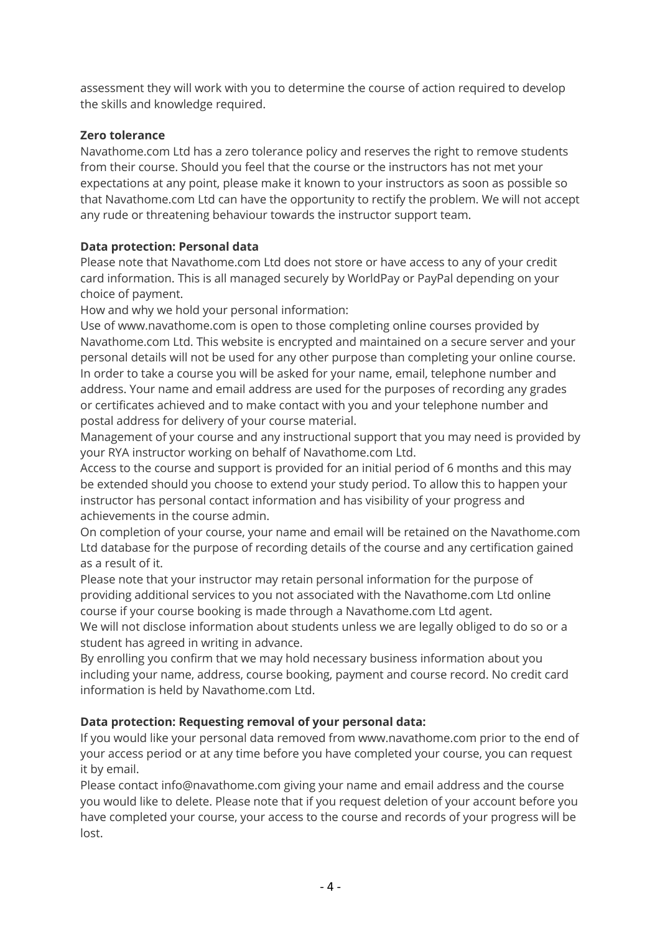assessment they will work with you to determine the course of action required to develop the skills and knowledge required.

## **Zero tolerance**

Navathome.com Ltd has a zero tolerance policy and reserves the right to remove students from their course. Should you feel that the course or the instructors has not met your expectations at any point, please make it known to your instructors as soon as possible so that Navathome.com Ltd can have the opportunity to rectify the problem. We will not accept any rude or threatening behaviour towards the instructor support team.

# **Data protection: Personal data**

Please note that Navathome.com Ltd does not store or have access to any of your credit card information. This is all managed securely by WorldPay or PayPal depending on your choice of payment.

How and why we hold your personal information:

Use of www.navathome.com is open to those completing online courses provided by Navathome.com Ltd. This website is encrypted and maintained on a secure server and your personal details will not be used for any other purpose than completing your online course. In order to take a course you will be asked for your name, email, telephone number and address. Your name and email address are used for the purposes of recording any grades or certificates achieved and to make contact with you and your telephone number and postal address for delivery of your course material.

Management of your course and any instructional support that you may need is provided by your RYA instructor working on behalf of Navathome.com Ltd.

Access to the course and support is provided for an initial period of 6 months and this may be extended should you choose to extend your study period. To allow this to happen your instructor has personal contact information and has visibility of your progress and achievements in the course admin.

On completion of your course, your name and email will be retained on the Navathome.com Ltd database for the purpose of recording details of the course and any certification gained as a result of it.

Please note that your instructor may retain personal information for the purpose of providing additional services to you not associated with the Navathome.com Ltd online course if your course booking is made through a Navathome.com Ltd agent.

We will not disclose information about students unless we are legally obliged to do so or a student has agreed in writing in advance.

By enrolling you confirm that we may hold necessary business information about you including your name, address, course booking, payment and course record. No credit card information is held by Navathome.com Ltd.

# **Data protection: Requesting removal of your personal data:**

If you would like your personal data removed from www.navathome.com prior to the end of your access period or at any time before you have completed your course, you can request it by email.

Please contact info@navathome.com giving your name and email address and the course you would like to delete. Please note that if you request deletion of your account before you have completed your course, your access to the course and records of your progress will be lost.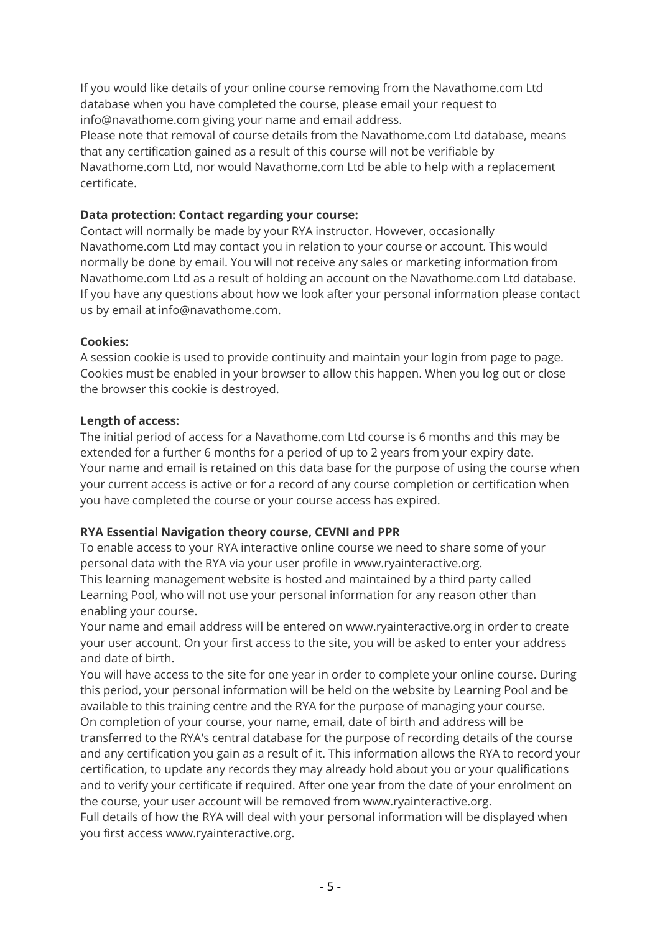If you would like details of your online course removing from the Navathome.com Ltd database when you have completed the course, please email your request to info@navathome.com giving your name and email address.

Please note that removal of course details from the Navathome.com Ltd database, means that any certification gained as a result of this course will not be verifiable by Navathome.com Ltd, nor would Navathome.com Ltd be able to help with a replacement certificate.

## **Data protection: Contact regarding your course:**

Contact will normally be made by your RYA instructor. However, occasionally Navathome.com Ltd may contact you in relation to your course or account. This would normally be done by email. You will not receive any sales or marketing information from Navathome.com Ltd as a result of holding an account on the Navathome.com Ltd database. If you have any questions about how we look after your personal information please contact us by email at info@navathome.com.

## **Cookies:**

A session cookie is used to provide continuity and maintain your login from page to page. Cookies must be enabled in your browser to allow this happen. When you log out or close the browser this cookie is destroyed.

## **Length of access:**

The initial period of access for a Navathome.com Ltd course is 6 months and this may be extended for a further 6 months for a period of up to 2 years from your expiry date. Your name and email is retained on this data base for the purpose of using the course when your current access is active or for a record of any course completion or certification when you have completed the course or your course access has expired.

# **RYA Essential Navigation theory course, CEVNI and PPR**

To enable access to your RYA interactive online course we need to share some of your personal data with the RYA via your user profile in www.ryainteractive.org. This learning management website is hosted and maintained by a third party called Learning Pool, who will not use your personal information for any reason other than enabling your course.

Your name and email address will be entered on www.ryainteractive.org in order to create your user account. On your first access to the site, you will be asked to enter your address and date of birth.

You will have access to the site for one year in order to complete your online course. During this period, your personal information will be held on the website by Learning Pool and be available to this training centre and the RYA for the purpose of managing your course. On completion of your course, your name, email, date of birth and address will be transferred to the RYA's central database for the purpose of recording details of the course and any certification you gain as a result of it. This information allows the RYA to record your certification, to update any records they may already hold about you or your qualifications and to verify your certificate if required. After one year from the date of your enrolment on the course, your user account will be removed from www.ryainteractive.org.

Full details of how the RYA will deal with your personal information will be displayed when you first access www.ryainteractive.org.